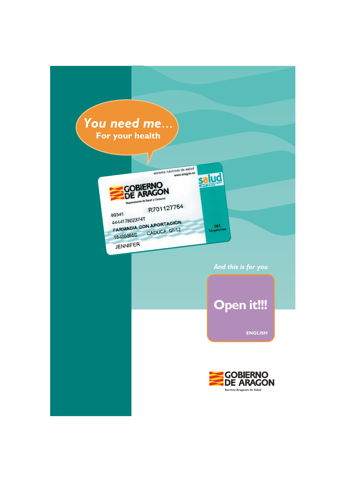# You need me... For your health



### And this is for you

# **Open it!!!**

**ENGLISH** 

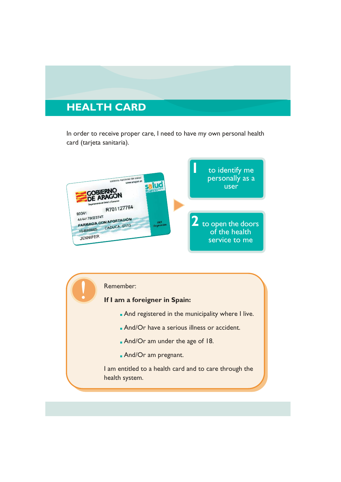## **HEALTH CARD**

In order to receive proper care. I need to have my own personal health card (tarjeta sanitaria).



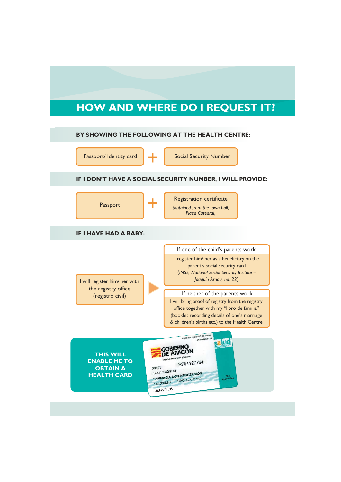## **HOW AND WHERE DO I REQUEST IT?**

#### BY SHOWING THE FOLLOWING AT THE HEALTH CENTRE:

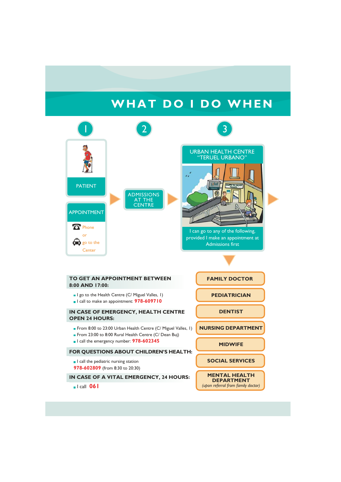## WHAT DO I DO WHEN

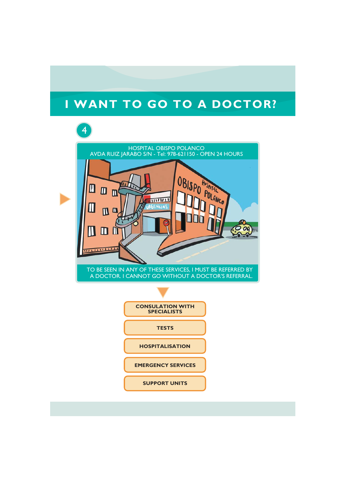# I WANT TO GO TO A DOCTOR?



**EMERGENCY SERVICES** 

**SUPPORT UNITS**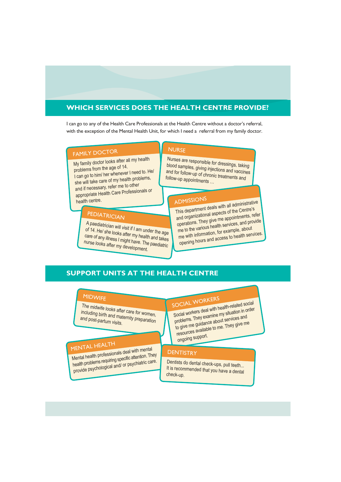## **WHICH SERVICES DOES THE HEALTH CENTRE PROVIDE?**

I can go to any of the Health Care Professionals at the Health Centre without a doctor's referral, with the exception of the Mental Health Unit, for which I need a referral from my family doctor.

## **FAMILY DOCTOR**

My family doctor looks after all my health problems from the age of 14. I can go to him/ her whenever I need to. He/ she will take care of my health problems, and if necessary, refer me to other appropriate Health Care Professionals or health centre.

## **PEDIATRICIAN**

A paediatrician will visit if I am under the age of 14. He/ she looks after my health and takes care of any illness I might have. The paediatric nurse looks after my development.

#### **NURSE**

Nurses are responsible for dressings, taking blood samples, giving injections and vaccines and for follow-up of chronic treatments and follow-up appointments ...

## **ADMISSIONS**

This department deals with all administrative and organizational aspects of the Centre's operations. They give me appointments, refer me to the various health services, and provide me with information, for example, about opening hours and access to health services.

### **SUPPORT UNITS AT THE HEALTH CENTRE**

## **MIDWIFE**

The midwife looks after care for women, including birth and maternity preparation and post-partum visits.

## MENTAL HEALTH

Mental health professionals deal with mental health problems requiring specific attention. They provide psychological and/ or psychiatric care.

# SOCIAL WORKERS

Social workers deal with health-related social problems. They examine my situation in order to give me guidance about services and resources available to me. They give me ongoing support.

#### **DENTISTRY**

Dentists do dental check-ups, pull teeth... It is recommended that you have a dental check-up.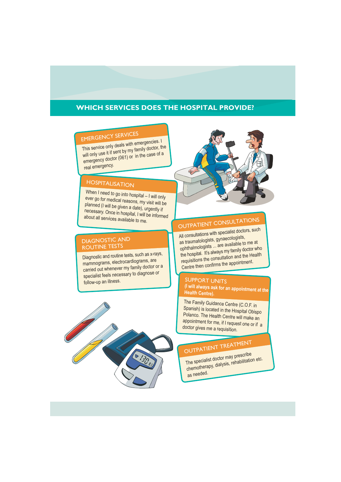### **WHICH SERVICES DOES THE HOSPITAL PROVIDE?**

## **EMERGENCY SERVICES**

This service only deals with emergencies. I will only use it if sent by my family doctor, the emergency doctor (061) or in the case of a real emergency.

## **HOSPITALISATION**

When I need to go into hospital - I will only ever go for medical reasons, my visit will be planned (I will be given a date), urgently if necessary. Once in hospital, I will be informed about all services available to me.

#### **DIAGNOSTIC AND ROUTINE TESTS**

Diagnostic and routine tests, such as x-rays, mammograms, electrocardiograms, are carried out whenever my family doctor or a specialist feels necessary to diagnose or follow-up an illness.





# **OUTPATIENT CONSULTATIONS**

All consultations with specialist doctors, such as traumatologists, gynaecologists, ophthalmologists ... are available to me at the hospital. It's always my family doctor who requisitions the consultation and the Health Centre then confirms the appointment.

#### **SUPPORT UNITS** (I will always ask for an appointment at the **Health Centre).**

The Family Guidance Centre (C.O.F. in Spanish) is located in the Hospital Obispo Polanco. The Health Centre will make an appointment for me, if I request one or if a doctor gives me a requisition.

# OUTPATIENT TREATMENT

The specialist doctor may prescribe chemotherapy, dialysis, rehabilitation etc. as needed.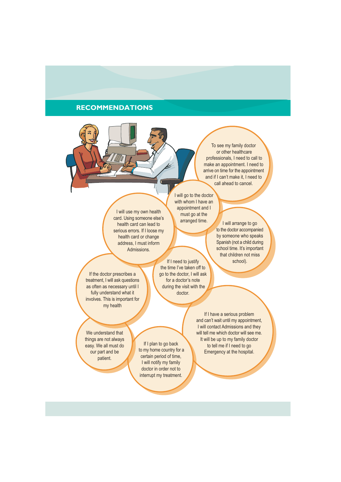### **RECOMMENDATIONS**

To see my family doctor or other healthcare professionals. I need to call to make an appointment. I need to arrive on time for the appointment and if I can't make it. I need to call ahead to cancel.

I will use my own health card. Using someone else's health card can lead to serious errors. If I loose my health card or change address. I must inform Admissions.

I will go to the doctor with whom I have an appointment and I must go at the arranged time.

I will arrange to go to the doctor accompanied by someone who speaks Spanish (not a child during school time. It's important that children not miss school).

If the doctor prescribes a treatment. I will ask questions as often as necessary until I fully understand what it involves. This is important for my health

If I need to justify the time I've taken off to go to the doctor. I will ask for a doctor's note during the visit with the doctor

> If I have a serious problem and can't wait until my appointment, I will contact Admissions and they will tell me which doctor will see me It will be up to my family doctor to tell me if I need to go Emergency at the hospital.

We understand that things are not always easy. We all must do our part and be patient.

If I plan to go back to my home country for a certain period of time. I will notify my family doctor in order not to interrupt my treatment.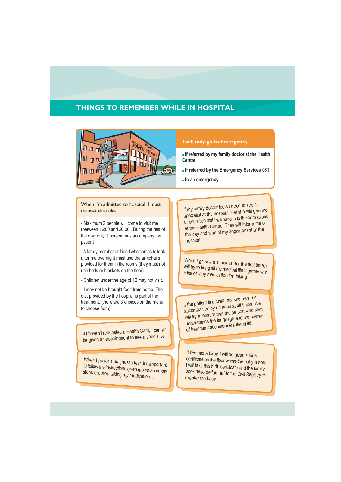### **THINGS TO REMEMBER WHILE IN HOSPITAL**



#### I will only go to Emergency:

- $\blacksquare$  If referred by my family doctor at the Health Centre
- If referred by the Emergency Services 061
- $\blacksquare$  In an emergency

#### When I'm admitted to hospital, I must respect the rules:

- Maximum 2 people will come to visit me (between 16:00 and 20:00). During the rest of the day, only 1 person may accompany the natient

- A family member or friend who comes to look after me overnight must use the armchairs provided for them in the rooms (they must not use beds or blankets on the floor).

- Children under the age of 12 may not visit.

- I may not be brought food from home. The diet provided by the hospital is part of the treatment. (there are 3 choices on the menu to choose from).

If I haven't requested a Health Card, I cannot be given an appointment to see a specialist

When I go for a diagnostic test, it's important to follow the instructions given (go on an empty stomach, stop taking my medication ...

If my family doctor feels I need to see a specialist at the hospital, He/ she will give me a requisition that I will hand in to the Admissions at the Health Centre. They will inform me of the day and time of my appointment at the hospital.

When I go see a specialist for the first time, I will try to bring all my medical file together with a list of any medication I'm taking.

If the patient is a child, he/ she must be accompanied by an adult at all times. We will try to ensure that the person who best understands the language and the course of treatment accompanies the child.

If I've had a baby, I will be given a birth certificate on the floor where the baby is born. I will take this birth certificate and the family book "libro de familia" to the Civil Registry to register the baby.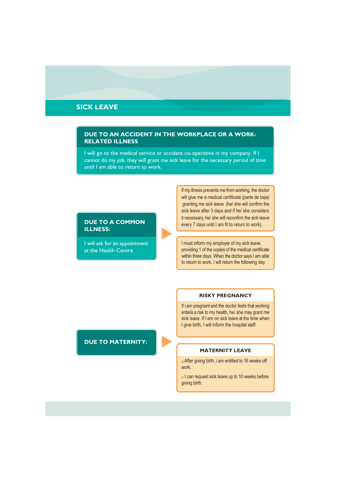### **SICK LEAVE**

#### DUE TO AN ACCIDENT IN THE WORKPLACE OR A WORK-**RELATED ILLNESS**

I will go to the medical service or accident co-operative in my company. If I cannot do my job, they will grant me sick leave for the necessary period of time until I am able to return to work

#### **DUE TO A COMMON ILLNESS:**

I will ask for an appointment at the Health Centre

If my illness prevents me from working, the doctor will give me a medical certificate (parte de baja) granting me sick leave (he/ she will confirm the sick leave after 3 days and if he/ she considers it necessary, he/ she will reconfirm the sick leave every 7 days until I am fit to return to work).

I must inform my employer of my sick leave, providing 1 of the copies of the medical certificate within three days. When the doctor says I am able to return to work, I will return the following day.

#### **RISKY PREGNANCY**

If i am pregnant and the doctor feels that working entails a risk to my health, he/ she may grant me sick leave. If I am on sick leave at the time when I give birth. I will inform the hospital staff.

#### **MATERNITY LEAVE**

After giving birth, i am entitled to 16 weeks off work.

l can request sick leave up to 10 weeks before giving birth.

#### **DUE TO MATERNITY:**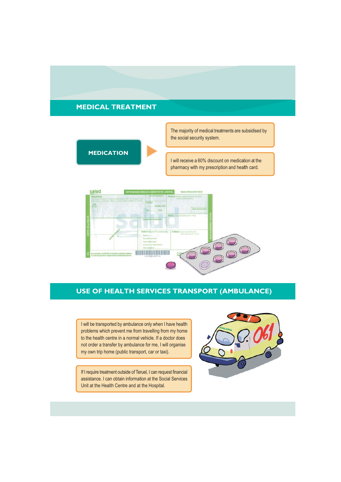### **MEDICAL TREATMENT**



The majority of medical treatments are subsidised by the social security system.

I will receive a 60% discount on medication at the pharmacy with my prescription and health card.



#### **USE OF HEALTH SERVICES TRANSPORT (AMBULANCE)**

I will be transported by ambulance only when I have health problems which prevent me from travelling from my home to the health centre in a normal vehicle. If a doctor does not order a transfer by ambulance for me, I will organise my own trip home (public transport, car or taxi).

If I require treatment outside of Teruel, I can request financial assistance. I can obtain information at the Social Services Unit at the Health Centre and at the Hospital.